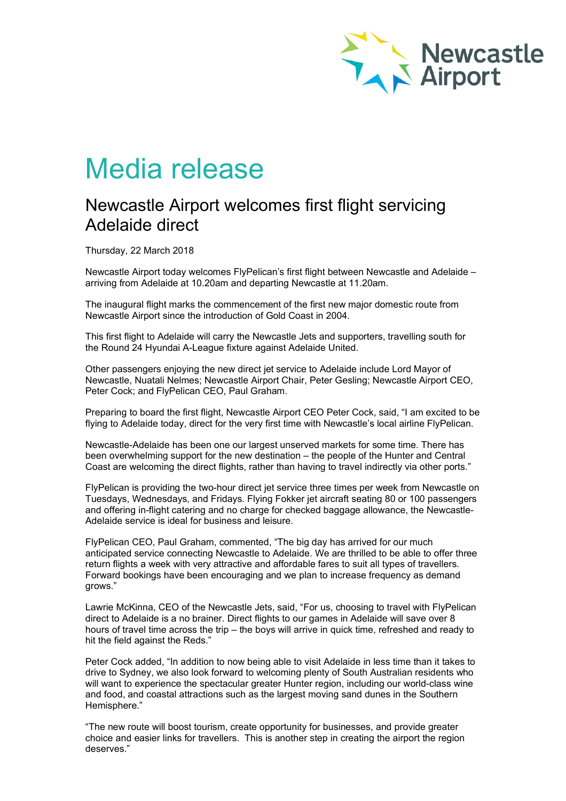

## Media release

## Newcastle Airport welcomes first flight servicing Adelaide direct

Thursday, 22 March 2018

Newcastle Airport today welcomes FlyPelican's first flight between Newcastle and Adelaide – arriving from Adelaide at 10.20am and departing Newcastle at 11.20am.

The inaugural flight marks the commencement of the first new major domestic route from Newcastle Airport since the introduction of Gold Coast in 2004.

This first flight to Adelaide will carry the Newcastle Jets and supporters, travelling south for the Round 24 Hyundai A-League fixture against Adelaide United.

Other passengers enjoying the new direct jet service to Adelaide include Lord Mayor of Newcastle, Nuatali Nelmes; Newcastle Airport Chair, Peter Gesling; Newcastle Airport CEO, Peter Cock; and FlyPelican CEO, Paul Graham.

Preparing to board the first flight, Newcastle Airport CEO Peter Cock, said, "I am excited to be flying to Adelaide today, direct for the very first time with Newcastle's local airline FlyPelican.

Newcastle-Adelaide has been one our largest unserved markets for some time. There has been overwhelming support for the new destination – the people of the Hunter and Central Coast are welcoming the direct flights, rather than having to travel indirectly via other ports."

FlyPelican is providing the two-hour direct jet service three times per week from Newcastle on Tuesdays, Wednesdays, and Fridays. Flying Fokker jet aircraft seating 80 or 100 passengers and offering in-flight catering and no charge for checked baggage allowance, the Newcastle-Adelaide service is ideal for business and leisure.

FlyPelican CEO, Paul Graham, commented, "The big day has arrived for our much anticipated service connecting Newcastle to Adelaide. We are thrilled to be able to offer three return flights a week with very attractive and affordable fares to suit all types of travellers. Forward bookings have been encouraging and we plan to increase frequency as demand grows."

Lawrie McKinna, CEO of the Newcastle Jets, said, "For us, choosing to travel with FlyPelican direct to Adelaide is a no brainer. Direct flights to our games in Adelaide will save over 8 hours of travel time across the trip – the boys will arrive in quick time, refreshed and ready to hit the field against the Reds."

Peter Cock added, "In addition to now being able to visit Adelaide in less time than it takes to drive to Sydney, we also look forward to welcoming plenty of South Australian residents who will want to experience the spectacular greater Hunter region, including our world-class wine and food, and coastal attractions such as the largest moving sand dunes in the Southern Hemisphere."

"The new route will boost tourism, create opportunity for businesses, and provide greater choice and easier links for travellers. This is another step in creating the airport the region deserves."